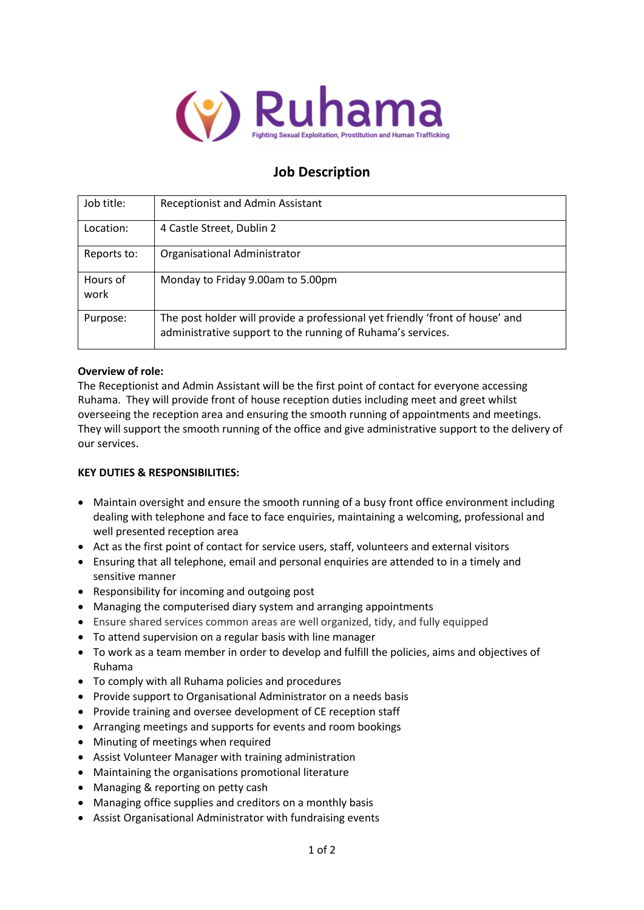

## **Job Description**

| Job title:       | <b>Receptionist and Admin Assistant</b>                                                                                                      |
|------------------|----------------------------------------------------------------------------------------------------------------------------------------------|
| Location:        | 4 Castle Street, Dublin 2                                                                                                                    |
| Reports to:      | Organisational Administrator                                                                                                                 |
| Hours of<br>work | Monday to Friday 9.00am to 5.00pm                                                                                                            |
| Purpose:         | The post holder will provide a professional yet friendly 'front of house' and<br>administrative support to the running of Ruhama's services. |

#### **Overview of role:**

The Receptionist and Admin Assistant will be the first point of contact for everyone accessing Ruhama. They will provide front of house reception duties including meet and greet whilst overseeing the reception area and ensuring the smooth running of appointments and meetings. They will support the smooth running of the office and give administrative support to the delivery of our services.

#### **KEY DUTIES & RESPONSIBILITIES:**

- Maintain oversight and ensure the smooth running of a busy front office environment including dealing with telephone and face to face enquiries, maintaining a welcoming, professional and well presented reception area
- Act as the first point of contact for service users, staff, volunteers and external visitors
- Ensuring that all telephone, email and personal enquiries are attended to in a timely and sensitive manner
- Responsibility for incoming and outgoing post
- Managing the computerised diary system and arranging appointments
- Ensure shared services common areas are well organized, tidy, and fully equipped
- To attend supervision on a regular basis with line manager
- To work as a team member in order to develop and fulfill the policies, aims and objectives of Ruhama
- To comply with all Ruhama policies and procedures
- Provide support to Organisational Administrator on a needs basis
- Provide training and oversee development of CE reception staff
- Arranging meetings and supports for events and room bookings
- Minuting of meetings when required
- Assist Volunteer Manager with training administration
- Maintaining the organisations promotional literature
- Managing & reporting on petty cash
- Managing office supplies and creditors on a monthly basis
- Assist Organisational Administrator with fundraising events